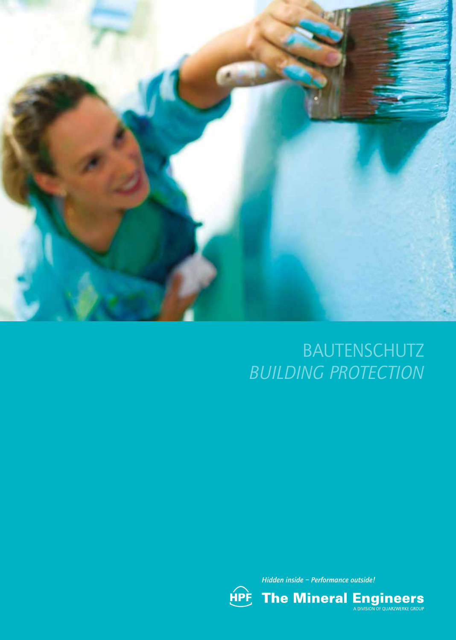

# BAUTENSCHUTZ *BUILDING PROTECTION*



*Hidden inside – Performance outside!*

**The Mineral Engineers**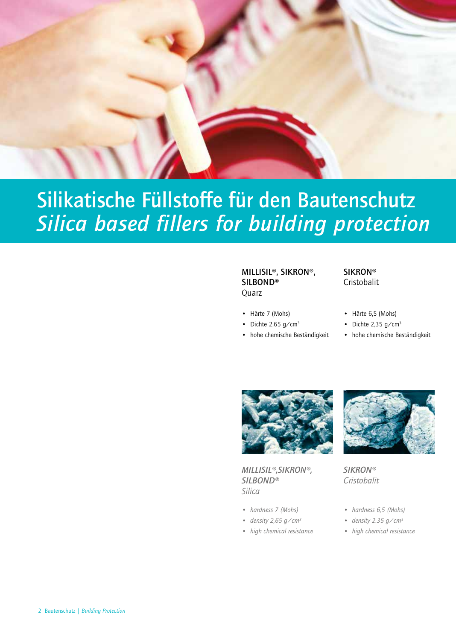

# Silikatische Füllstoffe für den Bautenschutz *Silica based fillers for building protection*

#### MILLISIL®, SIKRON®, SILBOND® Quarz

• Härte 7 (Mohs)

- Dichte 2,65  $g/cm<sup>3</sup>$
- hohe chemische Beständigkeit

#### **SIKRON®** Cristobalit

- Härte 6,5 (Mohs)
- Dichte 2,35 g/cm<sup>3</sup>
- hohe chemische Beständigkeit



*MILLISIL®,SIKRON®, SILBOND® Silica*

- *• hardness 7 (Mohs)*
- *• density 2,65 g/cm3*
- *• high chemical resistance*



*SIKRON® Cristobalit*

- *• hardness 6,5 (Mohs)*
- *• density 2.35 g/cm3*
- *• high chemical resistance*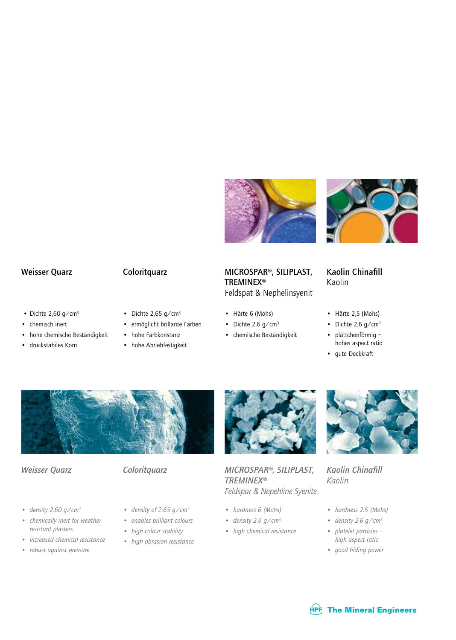



- Dichte  $2,60$  g/cm<sup>3</sup>
- chemisch inert
- hohe chemische Beständigkeit
- druckstabiles Korn
- 
- Dichte 2,65 g/cm<sup>3</sup>
- ermöglicht brillante Farben
- hohe Farbkonstanz
- hohe Abriebfestigkeit

#### Coloritquarz Kaolin Chinafill Weisser Quarz MICROSPAR®, SILIPLAST, TREMINEX® Feldspat & Nephelinsyenit

- Härte 6 (Mohs)
- Dichte  $2,6$  g/cm<sup>3</sup>
- chemische Beständigkeit

## Kaolin

- Härte 2,5 (Mohs)
- Dichte  $2,6$  g/cm<sup>3</sup>
- plättchenförmig hohes aspect ratio
- gute Deckkraft



- 
- *• density 2.60 g/cm3*
- *chemically inert for weather resistant plasters*
- *• increased chemical resistance*
- *• robust against pressure*
- 
- *• density of 2.65 g/cm3*
- *• enables brilliant colours*
- *• high colour stability*
- *• high abrasion resistance*



Weisser Quarz Coloritquarz MICROSPAR®, SILIPLAST, Kaolin Chinafill *TREMINEX® Feldspar & Nepehline Syenite*

- *• hardness 6 (Mohs)*
	- *• density 2.6 g/cm3*
	- *• high chemical resistance*



*Kaolin*

- *hardness 2.5 (Mohs)*
- *density 2.6 g/cm3*
- *platelet particles high aspect ratio*
- *• good hiding power*

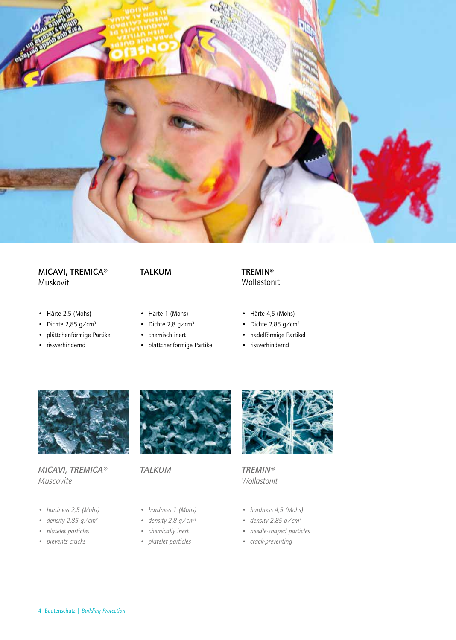

#### MICAVI, TREMICA® Muskovit

- Härte 2,5 (Mohs)
- Dichte  $2,85$  g/cm<sup>3</sup>
- plättchenförmige Partikel
- rissverhindernd

### TALKUM

- Härte 1 (Mohs)
- Dichte  $2,8$  g/cm<sup>3</sup>
- chemisch inert
- plättchenförmige Partikel

#### TREMIN® Wollastonit

- Härte 4,5 (Mohs)
- Dichte  $2,85$  g/cm<sup>3</sup>
- nadelförmige Partikel
- rissverhindernd



### *MICAVI, TREMICA® Muscovite*

- *• hardness 2,5 (Mohs)*
- *• density 2.85 g/cm3*
- *• platelet particles*
- *• prevents cracks*



*TALKUM*

- *• hardness 1 (Mohs)*
- *• density 2.8 g/cm3*
- *• chemically inert*
- *• platelet particles*



*TREMIN® Wollastonit*

- *• hardness 4,5 (Mohs)*
- *• density 2.85 g/cm3*
- *• needle-shaped particles*
- *• crack-preventing*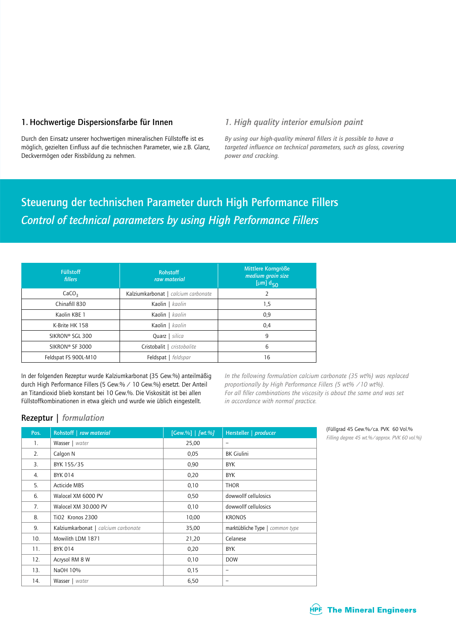#### 1. Hochwertige Dispersionsfarbe für Innen *1. High quality interior emulsion paint*

Durch den Einsatz unserer hochwertigen mineralischen Füllstoffe ist es möglich, gezielten Einfluss auf die technischen Parameter, wie z.B. Glanz, Deckvermögen oder Rissbildung zu nehmen.

*By using our high-quality mineral fillers it is possible to have a targeted influence on technical parameters, such as gloss, covering power and cracking.*

## Steuerung der technischen Parameter durch High Performance Fillers *Control of technical parameters by using High Performance Fillers*

| <b>Füllstoff</b><br>fillers | <b>Rohstoff</b><br>raw material     | Mittlere Korngröße<br>medium grain size<br>[ $\mu$ m] $d_{50}$ |  |  |  |  |
|-----------------------------|-------------------------------------|----------------------------------------------------------------|--|--|--|--|
| CaCO <sub>3</sub>           | Kalziumkarbonat   calcium carbonate |                                                                |  |  |  |  |
| Chinafill 830               | Kaolin   kaolin                     | 1,5                                                            |  |  |  |  |
| Kaolin KBE 1                | Kaolin   kaolin                     | 0,9                                                            |  |  |  |  |
| K-Brite HK 158              | Kaolin   kaolin                     | 0,4                                                            |  |  |  |  |
| SIKRON® SGL 300             | Quarz   silica                      | 9                                                              |  |  |  |  |
| SIKRON® SF 3000             | Cristobalit   cristobalite          | 6                                                              |  |  |  |  |
| Feldspat FS 900L-M10        | Feldspat   feldspar                 | 16                                                             |  |  |  |  |

In der folgenden Rezeptur wurde Kalziumkarbonat (35 Gew.%) anteilmäßig durch High Performance Fillers (5 Gew.% / 10 Gew.%) ersetzt. Der Anteil an Titandioxid blieb konstant bei 10 Gew.%. Die Viskosität ist bei allen Füllstoffkombinationen in etwa gleich und wurde wie üblich eingestellt.

*In the following formulation calcium carbonate (35 wt%) was replaced proportionally by High Performance Fillers (5 wt% /10 wt%). For all filler combinations the viscosity is about the same and was set in accordance with normal practice.* 

#### Rezeptur | *formulation*

| Pos.           | Rohstoff   raw material             | [Gew.%]   [wt.%] | Hersteller   producer           |
|----------------|-------------------------------------|------------------|---------------------------------|
| $\mathbf{1}$ . | Wasser   water                      | 25,00            | -                               |
| 2.             | Calgon N                            | 0,05             | <b>BK Giulini</b>               |
| 3.             | BYK 155/35                          | 0,90             | <b>BYK</b>                      |
| 4.             | <b>BYK 014</b>                      | 0,20             | <b>BYK</b>                      |
| 5.             | Acticide MBS                        | 0,10             | <b>THOR</b>                     |
| 6.             | Walocel XM 6000 PV                  | 0,50             | dowwollf cellulosics            |
| 7.             | Walocel XM 30.000 PV                | 0,10             | dowwollf cellulosics            |
| 8.             | TiO2 Kronos 2300                    | 10,00            | <b>KRONOS</b>                   |
| 9.             | Kalziumkarbonat   calcium carbonate | 35,00            | marktübliche Type   common type |
| 10.            | Mowilith LDM 1871                   | 21,20            | Celanese                        |
| 11.            | <b>BYK 014</b>                      | 0,20             | <b>BYK</b>                      |
| 12.            | Acrysol RM 8 W                      | 0,10             | <b>DOW</b>                      |
| 13.            | NaOH 10%                            | 0,15             | -                               |
| 14.            | Wasser   water                      | 6,50             | -                               |

(Füllgrad 45 Gew.%/ca. PVK 60 Vol.% *Filling degree 45 wt.%/approx. PVK 60 vol.%)*

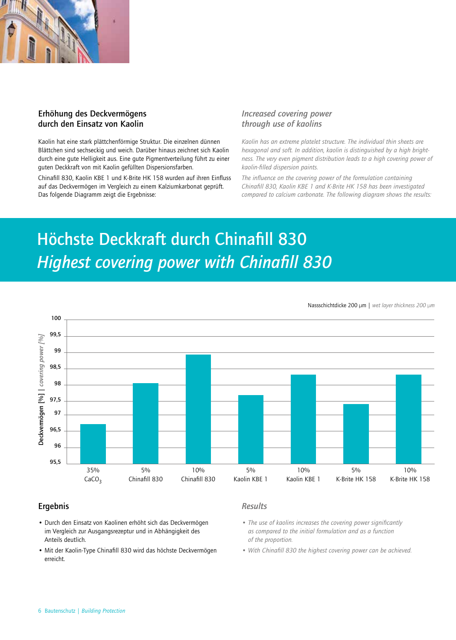

#### Erhöhung des Deckvermögens durch den Einsatz von Kaolin

Kaolin hat eine stark plättchenförmige Struktur. Die einzelnen dünnen Blättchen sind sechseckig und weich. Darüber hinaus zeichnet sich Kaolin durch eine gute Helligkeit aus. Eine gute Pigmentverteilung führt zu einer guten Deckkraft von mit Kaolin gefüllten Dispersionsfarben.

Chinafill 830, Kaolin KBE 1 und K-Brite HK 158 wurden auf ihren Einfluss auf das Deckvermögen im Vergleich zu einem Kalziumkarbonat geprüft. Das folgende Diagramm zeigt die Ergebnisse:

#### *Increased covering power through use of kaolins*

*Kaolin has an extreme platelet structure. The individual thin sheets are hexagonal and soft. In addition, kaolin is distinguished by a high brightness. The very even pigment distribution leads to a high covering power of kaolin-filled dispersion paints.*

*The influence on the covering power of the formulation containing Chinafill 830, Kaolin KBE 1 and K-Brite HK 158 has been investigated compared to calcium carbonate. The following diagram shows the results:*

## Höchste Deckkraft durch Chinafill 830 *Highest covering power with Chinafill 830*

100 99,5 Deckvermögen [%] | covering power [%] Deckvermögen [%] | *covering power [%]* 99 98,5 98 97,5 97 96,5 96 95,5 35% 5% 10% 5% 10% 5% 10% Chinafill 830  $CaCO<sub>3</sub>$ Chinafill 830 Kaolin KBE 1 Kaolin KBE 1 K-Brite HK 158 K-Brite HK 158

Nassschichtdicke 200 µm | *wet layer thickness 200 µm*

#### Ergebnis *Results*

- Durch den Einsatz von Kaolinen erhöht sich das Deckvermögen im Vergleich zur Ausgangsrezeptur und in Abhängigkeit des Anteils deutlich.
- Mit der Kaolin-Type Chinafill 830 wird das höchste Deckvermögen erreicht.

- *The use of kaolins increases the covering power significantly as compared to the initial formulation and as a function of the proportion.*
- *With Chinafill 830 the highest covering power can be achieved.*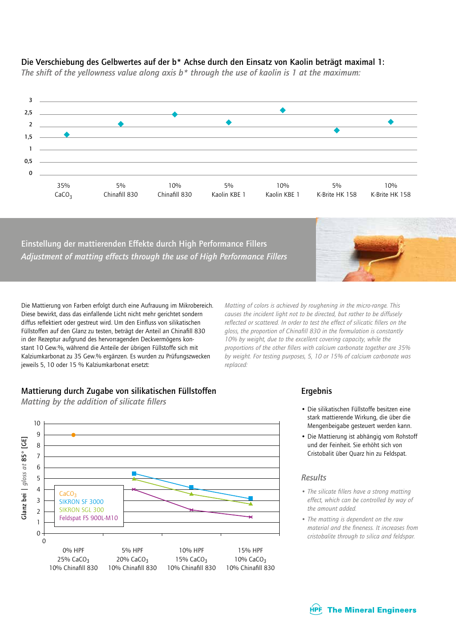

#### Die Verschiebung des Gelbwertes auf der b\* Achse durch den Einsatz von Kaolin beträgt maximal 1:

*The shift of the yellowness value along axis b\* through the use of kaolin is 1 at the maximum:*

Einstellung der mattierenden Effekte durch High Performance Fillers *Adjustment of matting effects through the use of High Performance Fillers*



Die Mattierung von Farben erfolgt durch eine Aufrauung im Mikrobereich. Diese bewirkt, dass das einfallende Licht nicht mehr gerichtet sondern diffus reflektiert oder gestreut wird. Um den Einfluss von silikatischen Füllstoffen auf den Glanz zu testen, beträgt der Anteil an Chinafill 830 in der Rezeptur aufgrund des hervorragenden Deckvermögens konstant 10 Gew.%, während die Anteile der übrigen Füllstoffe sich mit Kalziumkarbonat zu 35 Gew.% ergänzen. Es wurden zu Prüfungszwecken jeweils 5, 10 oder 15 % Kalziumkarbonat ersetzt:

*Matting of colors is achieved by roughening in the micro-range. This causes the incident light not to be directed, but rather to be diffusely reflected or scattered. In order to test the effect of silicatic fillers on the gloss, the proportion of Chinafill 830 in the formulation is constantly 10% by weight, due to the excellent covering capacity, while the proportions of the other fillers with calcium carbonate together are 35% by weight. For testing purposes, 5, 10 or 15% of calcium carbonate was replaced:*

### Mattierung durch Zugabe von silikatischen Füllstoffen

*Matting by the addition of silicate fillers*



#### Ergebnis

- Die silikatischen Füllstoffe besitzen eine stark mattierende Wirkung, die über die Mengenbeigabe gesteuert werden kann.
- Die Mattierung ist abhängig vom Rohstoff und der Feinheit. Sie erhöht sich von Cristobalit über Quarz hin zu Feldspat.

#### *Results*

- *The silicate fillers have a strong matting effect, which can be controlled by way of the amount added.*
- *The matting is dependent on the raw material and the fineness. It increases from cristobalite through to silica and feldspar.*

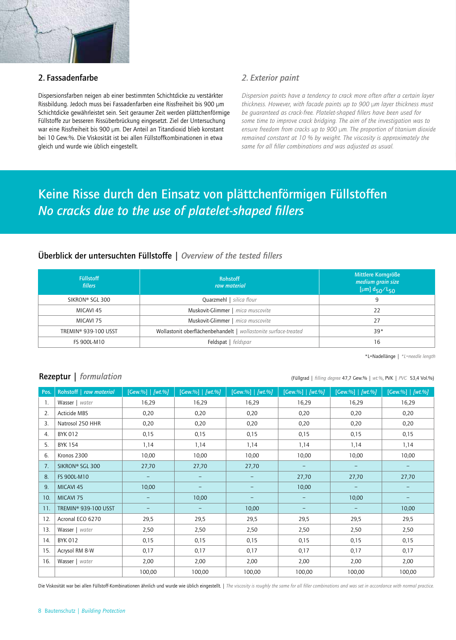

#### 2. Fassadenfarbe *2. Exterior paint*

Dispersionsfarben neigen ab einer bestimmten Schichtdicke zu verstärkter Rissbildung. Jedoch muss bei Fassadenfarben eine Rissfreiheit bis 900 µm Schichtdicke gewährleistet sein. Seit geraumer Zeit werden plättchenförmige Füllstoffe zur besseren Rissüberbrückung eingesetzt. Ziel der Untersuchung war eine Rissfreiheit bis 900 µm. Der Anteil an Titandioxid blieb konstant bei 10 Gew.%. Die Viskosität ist bei allen Füllstoffkombinationen in etwa gleich und wurde wie üblich eingestellt.

*Dispersion paints have a tendency to crack more often after a certain layer thickness. However, with facade paints up to 900 µm layer thickness must be guaranteed as crack-free. Platelet-shaped fillers have been used for some time to improve crack bridging. The aim of the investigation was to ensure freedom from cracks up to 900 µm. The proportion of titanium dioxide remained constant at 10 % by weight. The viscosity is approximately the same for all filler combinations and was adjusted as usual.*

## Keine Risse durch den Einsatz von plättchenförmigen Füllstoffen *No cracks due to the use of platelet-shaped fillers*

### Überblick der untersuchten Füllstoffe | *Overview of the tested fillers*

| <b>Füllstoff</b><br><b>fillers</b> | <b>Rohstoff</b><br>raw material                                 | Mittlere Korngröße<br>medium grain size<br>[µm] $d_{50}/L_{50}$ |
|------------------------------------|-----------------------------------------------------------------|-----------------------------------------------------------------|
| SIKRON® SGL 300                    | Quarzmehl   silica flour                                        | 9                                                               |
| MICAVI 45                          | Muskovit-Glimmer   mica muscovite                               | 22                                                              |
| MICAVI 75                          | Muskovit-Glimmer   mica muscovite                               | 27                                                              |
| TREMIN® 939-100 USST               | Wollastonit oberflächenbehandelt   wollastonite surface-treated | $39*$                                                           |
| FS 900L-M10                        | Feldspat   feldspar                                             | 16                                                              |

\*L=Nadellänge *| \*L=needle length*

#### Rezeptur | *formulation*  $\frac{1}{2}$  *formulation*  $\frac{1}{2}$  *filling degree* 47,7 Gew.% | *wt.%, PVK* | *PVC* 53,4 Vol.%)

| Pos. | Rohstoff   raw material | [Gew.%]   [wt.%]  | [Gew.%]   [wt.%]  | [Gew.%]   [wt.%] | [Gew. %]   [wt. %] | [Gew.%]   [wt.%] | [Gew.%]   [wt.%] |
|------|-------------------------|-------------------|-------------------|------------------|--------------------|------------------|------------------|
| -1.  | Wasser   water          | 16,29             | 16,29             | 16,29            | 16,29              | 16,29            | 16,29            |
| 2.   | Acticide MBS            | 0,20              | 0,20              | 0,20             | 0,20               | 0,20             | 0,20             |
| 3.   | Natrosol 250 HHR        | 0,20              | 0,20              | 0,20             | 0,20               | 0,20             | 0,20             |
| 4.   | BYK 012                 | 0,15              | 0,15              | 0,15             | 0,15               | 0,15             | 0,15             |
| 5.   | <b>BYK 154</b>          | 1,14              | 1,14              | 1,14             | 1,14               | 1,14             | 1,14             |
| 6.   | Kronos 2300             | 10,00             | 10,00             | 10,00            | 10,00              | 10,00            | 10,00            |
| 7.   | SIKRON® SGL 300         | 27,70             | 27,70             | 27,70            | $\qquad \qquad -$  |                  |                  |
| 8.   | FS 900L-M10             | $\qquad \qquad -$ | $\qquad \qquad -$ | -                | 27,70              | 27,70            | 27,70            |
| 9.   | MICAVI 45               | 10,00             | $\qquad \qquad -$ | -                | 10,00              | -                |                  |
| 10.  | MICAVI <sub>75</sub>    |                   | 10,00             |                  | -                  | 10,00            |                  |
| 11.  | TREMIN® 939-100 USST    | $\qquad \qquad -$ | $\qquad \qquad -$ | 10,00            | -                  | -                | 10,00            |
| 12.  | Acronal ECO 6270        | 29,5              | 29,5              | 29,5             | 29,5               | 29,5             | 29,5             |
| 13.  | Wasser   water          | 2,50              | 2,50              | 2,50             | 2,50               | 2,50             | 2,50             |
| 14.  | <b>BYK 012</b>          | 0,15              | 0,15              | 0,15             | 0,15               | 0,15             | 0,15             |
| 15.  | Acrysol RM 8-W          | 0,17              | 0,17              | 0,17             | 0,17               | 0,17             | 0,17             |
| 16.  | Wasser   water          | 2,00              | 2,00              | 2,00             | 2,00               | 2,00             | 2,00             |
|      |                         | 100,00            | 100,00            | 100,00           | 100,00             | 100,00           | 100,00           |

Die Viskosität war bei allen Füllstoff-Kombinationen ähnlich und wurde wie üblich eingestellt. | *The viscosity is roughly the same for all filler combinations and was set in accordance with normal practice.*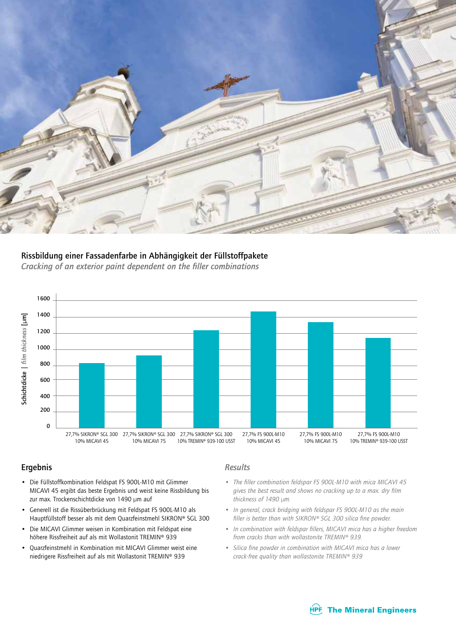

### Rissbildung einer Fassadenfarbe in Abhängigkeit der Füllstoffpakete

*Cracking of an exterior paint dependent on the filler combinations*



#### Ergebnis

- Die Füllstoffkombination Feldspat FS 900L-M10 mit Glimmer MICAVI 45 ergibt das beste Ergebnis und weist keine Rissbildung bis zur max. Trockenschichtdicke von 1490 µm auf
- Generell ist die Rissüberbrückung mit Feldspat FS 900L-M10 als Hauptfüllstoff besser als mit dem Quarzfeinstmehl SIKRON® SGL 300
- Die MICAVI Glimmer weisen in Kombination mit Feldspat eine höhere Rissfreiheit auf als mit Wollastonit TREMIN® 939
- Quarzfeinstmehl in Kombination mit MICAVI Glimmer weist eine niedrigere Rissfreiheit auf als mit Wollastonit TREMIN® 939

#### *Results*

- *The filler combination feldspar FS 900L-M10 with mica MICAVI 45 gives the best result and shows no cracking up to a max. dry film thickness of 1490 µm.*
- *In general, crack bridging with feldspar FS 900L-M10 as the main filler is better than with SIKRON® SGL 300 silica fine powder.*
- *In combination with feldspar fillers, MICAVI mica has a higher freedom from cracks than with wollastonite TREMIN® 939.*
- *Silica fine powder in combination with MICAVI mica has a lower crack-free quality than wollastonite TREMIN® 939*

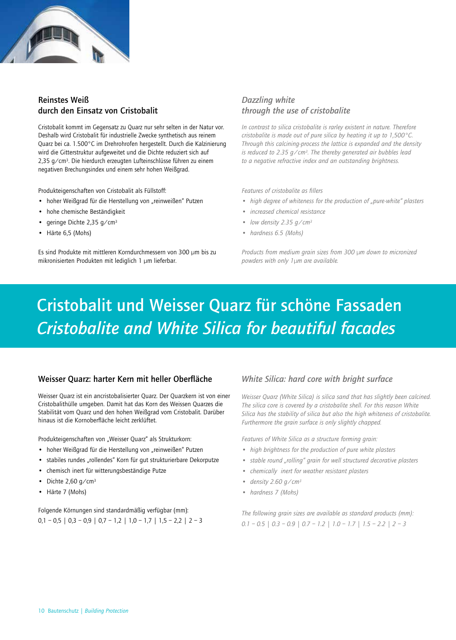

#### Reinstes Weiß durch den Einsatz von Cristobalit

Cristobalit kommt im Gegensatz zu Quarz nur sehr selten in der Natur vor. Deshalb wird Cristobalit für industrielle Zwecke synthetisch aus reinem Quarz bei ca. 1.500°C im Drehrohrofen hergestellt. Durch die Kalzinierung wird die Gitterstruktur aufgeweitet und die Dichte reduziert sich auf 2,35 g/cm3. Die hierdurch erzeugten Lufteinschlüsse führen zu einem negativen Brechungsindex und einem sehr hohen Weißgrad.

Produkteigenschaften von Cristobalit als Füllstoff:

- hoher Weißgrad für die Herstellung von "reinweißen" Putzen
- hohe chemische Beständigkeit
- geringe Dichte 2,35 g/cm3
- Härte 6,5 (Mohs)

Es sind Produkte mit mittleren Korndurchmessern von 300 µm bis zu mikronisierten Produkten mit lediglich 1 µm lieferbar.

#### *Dazzling white through the use of cristobalite*

*In contrast to silica cristobalite is rarley existent in nature. Therefore cristobalite is made out of pure silica by heating it up to 1,500°C. Through this calcining-process the lattice is expanded and the density is reduced to 2.35 g/cm3. The thereby generated air bubbles lead to a negative refractive index and an outstanding brightness.*

*Features of cristobalite as fillers*

- *high degree of whiteness for the production of "pure-white" plasters*
- *• increased chemical resistance*
- *• low density 2.35 g/cm3*
- *• hardness 6.5 (Mohs)*

*Products from medium grain sizes from 300 µm down to micronized powders with only 1µm are available.*

## Cristobalit und Weisser Quarz für schöne Fassaden *Cristobalite and White Silica for beautiful facades*

#### Weisser Quarz: harter Kern mit heller Oberfläche

Weisser Quarz ist ein ancristobalisierter Quarz. Der Quarzkern ist von einer Cristobalithülle umgeben. Damit hat das Korn des Weissen Quarzes die Stabilität vom Quarz und den hohen Weißgrad vom Cristobalit. Darüber hinaus ist die Kornoberfläche leicht zerklüftet.

Produkteigenschaften von "Weisser Quarz" als Strukturkorn:

- hoher Weißgrad für die Herstellung von "reinweißen" Putzen
- stabiles rundes "rollendes" Korn für gut strukturierbare Dekorputze
- chemisch inert für witterungsbeständige Putze
- Dichte  $2,60$  g/cm<sup>3</sup>
- Härte 7 (Mohs)

Folgende Körnungen sind standardmäßig verfügbar (mm):  $0,1 - 0.5$  |  $0.3 - 0.9$  |  $0.7 - 1.2$  |  $1.0 - 1.7$  |  $1.5 - 2.2$  |  $2 - 3$ 

#### *White Silica: hard core with bright surface*

*Weisser Quarz (White Silica) is silica sand that has slightly been calcined. The silica core is covered by a cristobalite shell. For this reason White Silica has the stability of silica but also the high whiteness of cristobalite. Furthermore the grain surface is only slightly chapped.*

*Features of White Silica as a structure forming grain:*

- *• high brightness for the production of pure white plasters*
- *stable round "rolling" grain for well structured decorative plasters*
- *• chemically inert for weather resistant plasters*
- *• density 2.60 g/cm3*
- *• hardness 7 (Mohs)*

*The following grain sizes are available as standard products (mm): 0.1 – 0.5 | 0.3 – 0.9 | 0.7 – 1.2 | 1.0 – 1.7 | 1.5 – 2.2 | 2 – 3*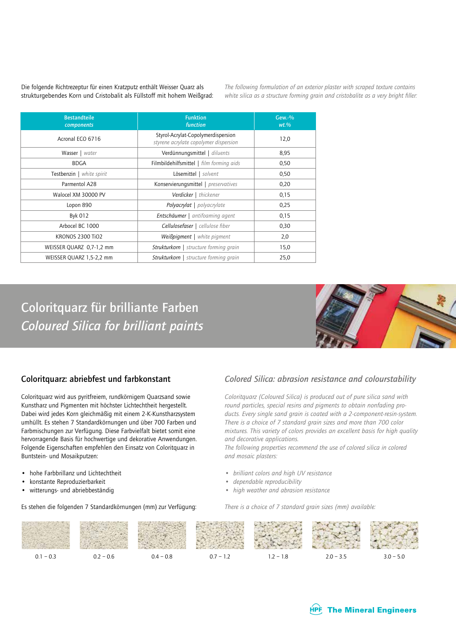Die folgende Richtrezeptur für einen Kratzputz enthält Weisser Quarz als strukturgebendes Korn und Cristobalit als Füllstoff mit hohem Weißgrad: *The following formulation of an exterior plaster with scraped texture contains white silica as a structure forming grain and cristobalite as a very bright filler:*

| <b>Bestandteile</b><br>components | <b>Funktion</b><br>function                                                 | $Gew.-%$<br>$wt.$ % |
|-----------------------------------|-----------------------------------------------------------------------------|---------------------|
| Acronal ECO 6716                  | Styrol-Acrylat-Copolymerdispersion<br>styrene acrylate copolymer dispersion | 12,0                |
| Wasser   water                    | Verdünnungsmittel   diluents                                                | 8,95                |
| <b>BDGA</b>                       | Filmbildehilfsmittel   film forming aids                                    | 0,50                |
| Testbenzin   white spirit         | Lösemittel   solvent                                                        | 0,50                |
| Parmentol A <sub>28</sub>         | Konservierungsmittel   preservatives                                        | 0,20                |
| Walocel XM 30000 PV               | <b>Verdicker</b>   thickener                                                | 0,15                |
| Lopon 890                         | Polyacrylat   polyacrylate                                                  | 0,25                |
| Byk 012                           | Entschäumer   antifoaming agent                                             | 0,15                |
| Arbocel BC 1000                   | Cellulosefaser   cellulose fiber                                            | 0,30                |
| <b>KRONOS 2300 TiO2</b>           | Weißpigment   white pigment                                                 | 2,0                 |
| WEISSER QUARZ 0.7-1.2 mm          | Strukturkorn   structure forming grain                                      | 15,0                |
| WEISSER QUARZ 1,5-2,2 mm          | <b>Strukturkorn</b>   structure forming grain                               | 25,0                |

Coloritquarz für brilliante Farben *Coloured Silica for brilliant paints*



#### Coloritquarz: abriebfest und farbkonstant

Coloritquarz wird aus pyritfreiem, rundkörnigem Quarzsand sowie Kunstharz und Pigmenten mit höchster Lichtechtheit hergestellt. Dabei wird jedes Korn gleichmäßig mit einem 2-K-Kunstharzsystem umhüllt. Es stehen 7 Standardkörnungen und über 700 Farben und Farbmischungen zur Verfügung. Diese Farbvielfalt bietet somit eine hervorragende Basis für hochwertige und dekorative Anwendungen. Folgende Eigenschaften empfehlen den Einsatz von Coloritquarz in Buntstein- und Mosaikputzen:

- hohe Farbbrillanz und Lichtechtheit
- konstante Reproduzierbarkeit
- witterungs- und abriebbeständig

Es stehen die folgenden 7 Standardkörnungen (mm) zur Verfügung:

#### *Colored Silica: abrasion resistance and colourstability*

*Coloritquarz (Coloured Silica) is produced out of pure silica sand with round particles, special resins and pigments to obtain nonfading products. Every single sand grain is coated with a 2-component-resin-system. There is a choice of 7 standard grain sizes and more than 700 color mixtures. This variety of colors provides an excellent basis for high quality and decorative applications.*

*The following properties recommend the use of colored silica in colored and mosaic plasters:*

- *• brilliant colors and high UV resistance*
- *• dependable reproducibility*
- *• high weather and abrasion resistance*

*There is a choice of 7 standard grain sizes (mm) available:*